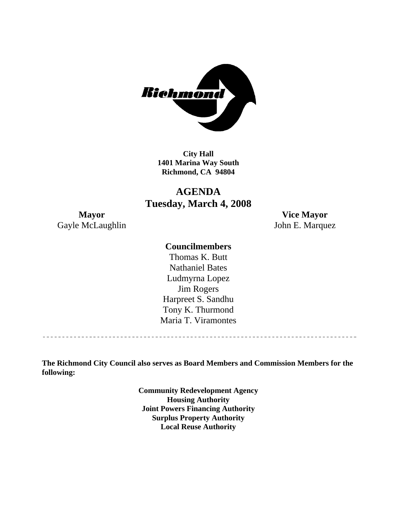

**City Hall 1401 Marina Way South Richmond, CA 94804** 

# **AGENDA Tuesday, March 4, 2008**

Gayle McLaughlin John E. Marquez

**Mayor Vice Mayor** 

### **Councilmembers**

Harpreet S. Sandhu Tony K. Thurmond Maria T. Viramontes Thomas K. Butt Nathaniel Bates Ludmyrna Lopez Jim Rogers

**The Richmond City Council also serves as Board Members and Commission Members for the following:** 

> **Community Redevelopment Agency Housing Authority Joint Powers Financing Authority Surplus Property Authority Local Reuse Authority**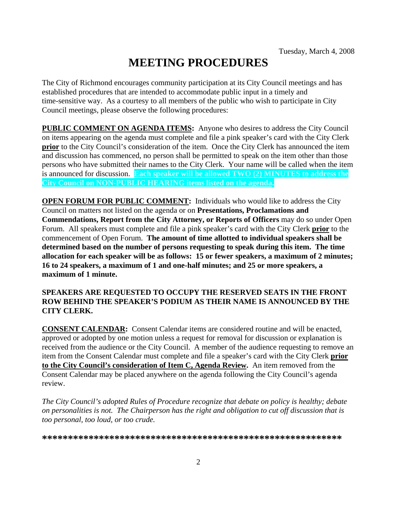# **MEETING PROCEDURES**

The City of Richmond encourages community participation at its City Council meetings and has established procedures that are intended to accommodate public input in a timely and time-sensitive way. As a courtesy to all members of the public who wish to participate in City Council meetings, please observe the following procedures:

**PUBLIC COMMENT ON AGENDA ITEMS:** Anyone who desires to address the City Council on items appearing on the agenda must complete and file a pink speaker's card with the City Clerk **prior** to the City Council's consideration of the item. Once the City Clerk has announced the item and discussion has commenced, no person shall be permitted to speak on the item other than those persons who have submitted their names to the City Clerk. Your name will be called when the item is announced for discussion. **Each speaker will be allowed TWO (2) MINUTES to address the City Council on NON-PUBLIC HEARING items listed on the agenda.** 

**OPEN FORUM FOR PUBLIC COMMENT:** Individuals who would like to address the City Council on matters not listed on the agenda or on **Presentations, Proclamations and Commendations, Report from the City Attorney, or Reports of Officers** may do so under Open Forum. All speakers must complete and file a pink speaker's card with the City Clerk **prior** to the commencement of Open Forum. **The amount of time allotted to individual speakers shall be determined based on the number of persons requesting to speak during this item. The time allocation for each speaker will be as follows: 15 or fewer speakers, a maximum of 2 minutes; 16 to 24 speakers, a maximum of 1 and one-half minutes; and 25 or more speakers, a maximum of 1 minute.** 

#### **SPEAKERS ARE REQUESTED TO OCCUPY THE RESERVED SEATS IN THE FRONT ROW BEHIND THE SPEAKER'S PODIUM AS THEIR NAME IS ANNOUNCED BY THE CITY CLERK.**

**CONSENT CALENDAR:** Consent Calendar items are considered routine and will be enacted, approved or adopted by one motion unless a request for removal for discussion or explanation is received from the audience or the City Council. A member of the audience requesting to remove an item from the Consent Calendar must complete and file a speaker's card with the City Clerk **prior to the City Council's consideration of Item C, Agenda Review.** An item removed from the Consent Calendar may be placed anywhere on the agenda following the City Council's agenda review.

*The City Council's adopted Rules of Procedure recognize that debate on policy is healthy; debate on personalities is not. The Chairperson has the right and obligation to cut off discussion that is too personal, too loud, or too crude.* 

**\*\*\*\*\*\*\*\*\*\*\*\*\*\*\*\*\*\*\*\*\*\*\*\*\*\*\*\*\*\*\*\*\*\*\*\*\*\*\*\*\*\*\*\*\*\*\*\*\*\*\*\*\*\*\*\*\*\***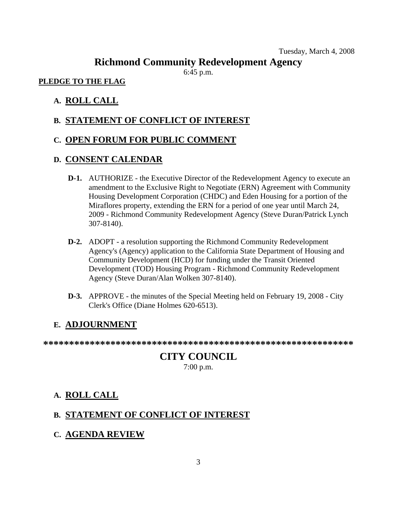#### Tuesday, March 4, 2008

# **Richmond Community Redevelopment Agency**

6:45 p.m.

#### **PLEDGE TO THE FLAG**

#### **A. ROLL CALL**

#### **B. STATEMENT OF CONFLICT OF INTEREST**

#### **C. OPEN FORUM FOR PUBLIC COMMENT**

#### **D. CONSENT CALENDAR**

- **D-1.** AUTHORIZE the Executive Director of the Redevelopment Agency to execute an amendment to the Exclusive Right to Negotiate (ERN) Agreement with Community Housing Development Corporation (CHDC) and Eden Housing for a portion of the Miraflores property, extending the ERN for a period of one year until March 24, 2009 - Richmond Community Redevelopment Agency (Steve Duran/Patrick Lynch 307-8140).
- **D-2.** ADOPT a resolution supporting the Richmond Community Redevelopment Agency's (Agency) application to the California State Department of Housing and Community Development (HCD) for funding under the Transit Oriented Development (TOD) Housing Program - Richmond Community Redevelopment Agency (Steve Duran/Alan Wolken 307-8140).
- **D-3.** APPROVE the minutes of the Special Meeting held on February 19, 2008 City Clerk's Office (Diane Holmes 620-6513).

#### **E. ADJOURNMENT**

**\*\*\*\*\*\*\*\*\*\*\*\*\*\*\*\*\*\*\*\*\*\*\*\*\*\*\*\*\*\*\*\*\*\*\*\*\*\*\*\*\*\*\*\*\*\*\*\*\*\*\*\*\*\*\*\*\*\*\*\*** 

#### **CITY COUNCIL**  7:00 p.m.

#### **A. ROLL CALL**

#### **B. STATEMENT OF CONFLICT OF INTEREST**

**C. AGENDA REVIEW**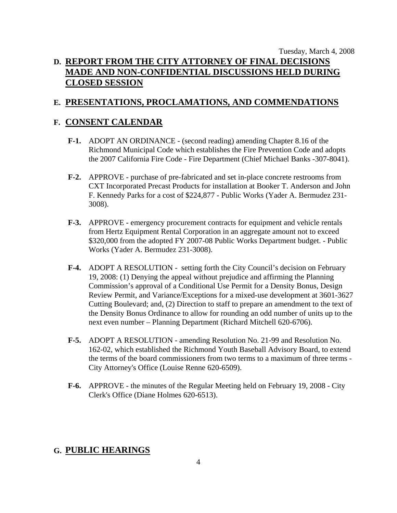# Tuesday, March 4, 2008 **D. REPORT FROM THE CITY ATTORNEY OF FINAL DECISIONS MADE AND NON-CONFIDENTIAL DISCUSSIONS HELD DURING CLOSED SESSION**

# **E. PRESENTATIONS, PROCLAMATIONS, AND COMMENDATIONS**

## **F. CONSENT CALENDAR**

- **F-1.** ADOPT AN ORDINANCE (second reading) amending Chapter 8.16 of the Richmond Municipal Code which establishes the Fire Prevention Code and adopts the 2007 California Fire Code - Fire Department (Chief Michael Banks -307-8041).
- **F-2.** APPROVE purchase of pre-fabricated and set in-place concrete restrooms from CXT Incorporated Precast Products for installation at Booker T. Anderson and John F. Kennedy Parks for a cost of \$224,877 - Public Works (Yader A. Bermudez 231- 3008).
- **F-3.** APPROVE emergency procurement contracts for equipment and vehicle rentals from Hertz Equipment Rental Corporation in an aggregate amount not to exceed \$320,000 from the adopted FY 2007-08 Public Works Department budget. - Public Works (Yader A. Bermudez 231-3008).
- **F-4.** ADOPT A RESOLUTION setting forth the City Council's decision on February 19, 2008: (1) Denying the appeal without prejudice and affirming the Planning Commission's approval of a Conditional Use Permit for a Density Bonus, Design Review Permit, and Variance/Exceptions for a mixed-use development at 3601-3627 Cutting Boulevard; and, (2) Direction to staff to prepare an amendment to the text of the Density Bonus Ordinance to allow for rounding an odd number of units up to the next even number – Planning Department (Richard Mitchell 620-6706).
- **F-5.** ADOPT A RESOLUTION amending Resolution No. 21-99 and Resolution No. 162-02, which established the Richmond Youth Baseball Advisory Board, to extend the terms of the board commissioners from two terms to a maximum of three terms - City Attorney's Office (Louise Renne 620-6509).
- **F-6.** APPROVE the minutes of the Regular Meeting held on February 19, 2008 City Clerk's Office (Diane Holmes 620-6513).

#### **G. PUBLIC HEARINGS**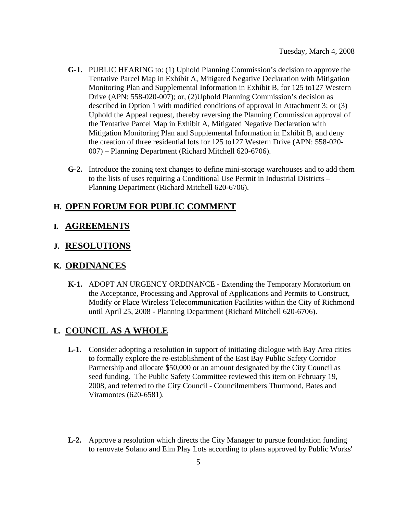- **G-1.** PUBLIC HEARING to: (1) Uphold Planning Commission's decision to approve the Tentative Parcel Map in Exhibit A, Mitigated Negative Declaration with Mitigation Monitoring Plan and Supplemental Information in Exhibit B, for 125 to127 Western Drive (APN: 558-020-007); or, (2)Uphold Planning Commission's decision as described in Option 1 with modified conditions of approval in Attachment 3; or (3) Uphold the Appeal request, thereby reversing the Planning Commission approval of the Tentative Parcel Map in Exhibit A, Mitigated Negative Declaration with Mitigation Monitoring Plan and Supplemental Information in Exhibit B, and deny the creation of three residential lots for 125 to127 Western Drive (APN: 558-020- 007) – Planning Department (Richard Mitchell 620-6706).
- **G-2.** Introduce the zoning text changes to define mini-storage warehouses and to add them to the lists of uses requiring a Conditional Use Permit in Industrial Districts – Planning Department (Richard Mitchell 620-6706).

#### **H. OPEN FORUM FOR PUBLIC COMMENT**

#### **I. AGREEMENTS**

#### **J. RESOLUTIONS**

#### **K. ORDINANCES**

 **K-1.** ADOPT AN URGENCY ORDINANCE - Extending the Temporary Moratorium on the Acceptance, Processing and Approval of Applications and Permits to Construct, Modify or Place Wireless Telecommunication Facilities within the City of Richmond until April 25, 2008 - Planning Department (Richard Mitchell 620-6706).

#### **L. COUNCIL AS A WHOLE**

- **L-1.** Consider adopting a resolution in support of initiating dialogue with Bay Area cities to formally explore the re-establishment of the East Bay Public Safety Corridor Partnership and allocate \$50,000 or an amount designated by the City Council as seed funding. The Public Safety Committee reviewed this item on February 19, 2008, and referred to the City Council - Councilmembers Thurmond, Bates and Viramontes (620-6581).
- **L-2.** Approve a resolution which directs the City Manager to pursue foundation funding to renovate Solano and Elm Play Lots according to plans approved by Public Works'